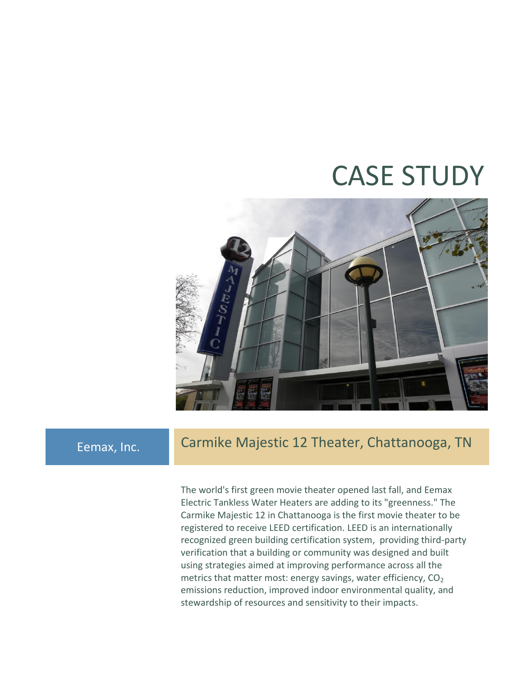# CASE STUDY



### Eemax, Inc. Carmike Majestic 12 Theater, Chattanooga, TN

The world's first green movie theater opened last fall, and Eemax Electric Tankless Water Heaters are adding to its "greenness." The Carmike Majestic 12 in Chattanooga is the first movie theater to be registered to receive LEED certification. LEED is an internationally recognized green building certification system, providing third-party verification that a building or community was designed and built using strategies aimed at improving performance across all the metrics that matter most: energy savings, water efficiency,  $CO<sub>2</sub>$ emissions reduction, improved indoor environmental quality, and stewardship of resources and sensitivity to their impacts.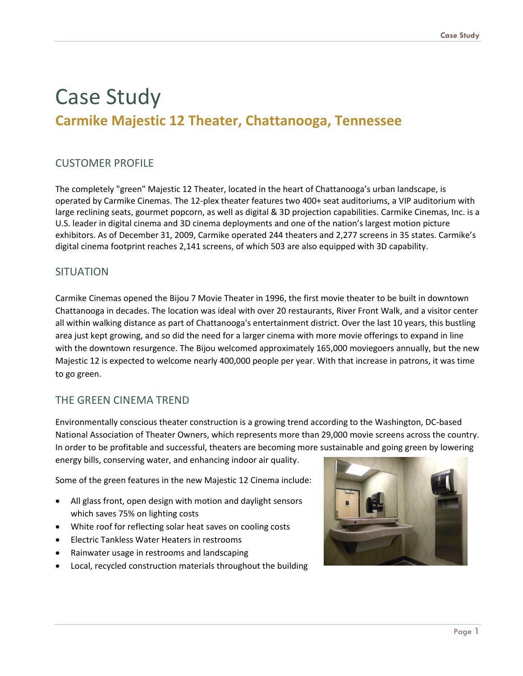## Case Study **Carmike Majestic 12 Theater, Chattanooga, Tennessee**

#### CUSTOMER PROFILE

The completely "green" Majestic 12 Theater, located in the heart of Chattanooga's urban landscape, is operated by Carmike Cinemas. The 12-plex theater features two 400+ seat auditoriums, a VIP auditorium with large reclining seats, gourmet popcorn, as well as digital & 3D projection capabilities. Carmike Cinemas, Inc. is a U.S. leader in digital cinema and 3D cinema deployments and one of the nation's largest motion picture exhibitors. As of December 31, 2009, Carmike operated 244 theaters and 2,277 screens in 35 states. Carmike's digital cinema footprint reaches 2,141 screens, of which 503 are also equipped with 3D capability.

#### **SITUATION**

Carmike Cinemas opened the Bijou 7 Movie Theater in 1996, the first movie theater to be built in downtown Chattanooga in decades. The location was ideal with over 20 restaurants, River Front Walk, and a visitor center all within walking distance as part of Chattanooga's entertainment district. Over the last 10 years, this bustling area just kept growing, and so did the need for a larger cinema with more movie offerings to expand in line with the downtown resurgence. The Bijou welcomed approximately 165,000 moviegoers annually, but the new Majestic 12 is expected to welcome nearly 400,000 people per year. With that increase in patrons, it was time to go green.

#### THE GREEN CINEMA TREND

Environmentally conscious theater construction is a growing trend according to the Washington, DC-based National Association of Theater Owners, which represents more than 29,000 movie screens across the country. In order to be profitable and successful, theaters are becoming more sustainable and going green by lowering energy bills, conserving water, and enhancing indoor air quality.

Some of the green features in the new Majestic 12 Cinema include:

- All glass front, open design with motion and daylight sensors which saves 75% on lighting costs
- White roof for reflecting solar heat saves on cooling costs
- Electric Tankless Water Heaters in restrooms
- Rainwater usage in restrooms and landscaping
- Local, recycled construction materials throughout the building